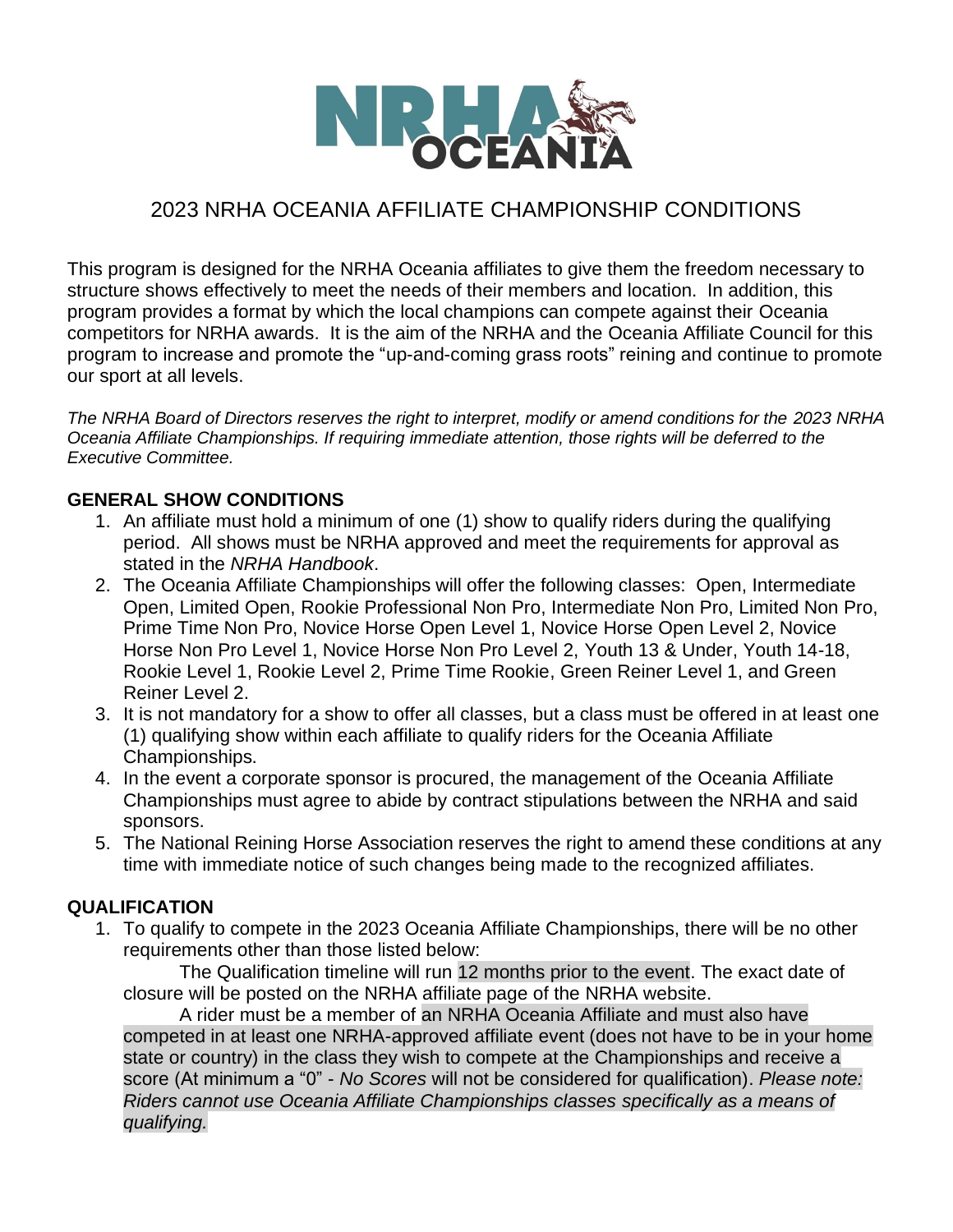

## 2023 NRHA OCEANIA AFFILIATE CHAMPIONSHIP CONDITIONS

This program is designed for the NRHA Oceania affiliates to give them the freedom necessary to structure shows effectively to meet the needs of their members and location. In addition, this program provides a format by which the local champions can compete against their Oceania competitors for NRHA awards. It is the aim of the NRHA and the Oceania Affiliate Council for this program to increase and promote the "up-and-coming grass roots" reining and continue to promote our sport at all levels.

*The NRHA Board of Directors reserves the right to interpret, modify or amend conditions for the 2023 NRHA Oceania Affiliate Championships. If requiring immediate attention, those rights will be deferred to the Executive Committee.*

## **GENERAL SHOW CONDITIONS**

- 1. An affiliate must hold a minimum of one (1) show to qualify riders during the qualifying period. All shows must be NRHA approved and meet the requirements for approval as stated in the *NRHA Handbook*.
- 2. The Oceania Affiliate Championships will offer the following classes: Open, Intermediate Open, Limited Open, Rookie Professional Non Pro, Intermediate Non Pro, Limited Non Pro, Prime Time Non Pro, Novice Horse Open Level 1, Novice Horse Open Level 2, Novice Horse Non Pro Level 1, Novice Horse Non Pro Level 2, Youth 13 & Under, Youth 14-18, Rookie Level 1, Rookie Level 2, Prime Time Rookie, Green Reiner Level 1, and Green Reiner Level 2.
- 3. It is not mandatory for a show to offer all classes, but a class must be offered in at least one (1) qualifying show within each affiliate to qualify riders for the Oceania Affiliate Championships.
- 4. In the event a corporate sponsor is procured, the management of the Oceania Affiliate Championships must agree to abide by contract stipulations between the NRHA and said sponsors.
- 5. The National Reining Horse Association reserves the right to amend these conditions at any time with immediate notice of such changes being made to the recognized affiliates.

## **QUALIFICATION**

1. To qualify to compete in the 2023 Oceania Affiliate Championships, there will be no other requirements other than those listed below:

The Qualification timeline will run 12 months prior to the event. The exact date of closure will be posted on the NRHA affiliate page of the NRHA website.

A rider must be a member of an NRHA Oceania Affiliate and must also have competed in at least one NRHA-approved affiliate event (does not have to be in your home state or country) in the class they wish to compete at the Championships and receive a score (At minimum a "0" - *No Scores* will not be considered for qualification). *Please note: Riders cannot use Oceania Affiliate Championships classes specifically as a means of qualifying.*